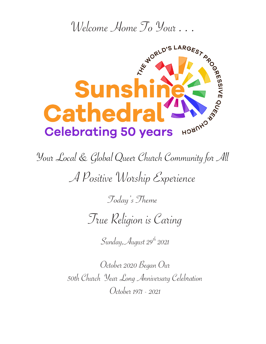

Your Local & Global Queer Church Community for All

A Positive Worship Experience

Today's Theme

True Religion is Caring

Sunday, August 29<sup>th</sup> 2021

October 2020 Began Our 50th Church Year Long Anniversary Celebration October 1971 - 2021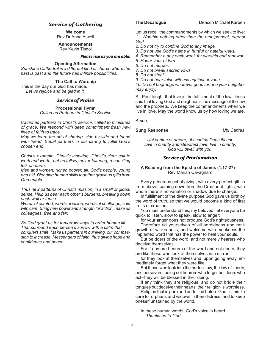### *Service of Gathering*

**Welcome** Rev Dr Anne Atwell

**Announcements** Rev Kevin Tisdol

# *Please rise as you are able.*

#### **Opening Affirmation**

*Sunshine Cathedral is a different kind of church where the past is past and the future has infinite possibilities.*

#### **The Call to Worship**

This is the day our God has made. *Let us rejoice and be glad in it.*

#### *Service of Praise*

#### **Processional Hymn** *Called as Partners in Christ's Service*

*Called as partners in Christ's service, called to ministries of grace, We respond with deep commitment fresh new lines of faith to trace.*

*May we learn the art of sharing, side by side and friend with friend, Equal partners in our caring to fulfill God's chosen end.*

*Christ's example, Christ's inspiring, Christ's clear call to work and worth, Let us follow, never faltering, reconciling folk on earth.*

*Men and women, richer, poorer, all. God's people, young and old, Blending human skills together gracious gifts from God unfold.*

*Thus new patterns of Christ's mission, in a small or global sense, Help us bear each other's burdens, breaking down each wall or fence.*

*Words of comfort, words of vision, words of challenge, said with care, Bring new power and strength for action, make us colleagues, free and fair.*

*So God grant us for tomorrow ways to order human life That surround each person's sorrow with a calm that conquers strife. Make us partners in our living, our compassion to increase. Messengers of faith, thus giving hope and confidence and peace.*

**The Decalogue Deacon Michael Karben** 

Let us recall the commandments by which we seek to live: *1. Worship nothing other than the omnipresent, eternal God.*

- *2. Do not try to confine God to any image.*
- *3. Do not use God's name in hurtful or hateful ways.*
- *4. Remember a day each week for worship and renewal.*
- *5. Honor your elders.*
- *6. Do not murder.*
- *7. Do not break sacred vows.*
- *8. Do not steal.*

*9. Do not bear false witness against anyone.* 

*10. Do not begrudge whatever good fortune your neighbor may enjoy.*

St. Paul taught that love is the fulfillment of the law. Jesus said that loving God and neighbor is the message of the law and the prophets. We keep the commandments when we live in love. May the world know us by how loving we are.

*Amen.* 

### **Sung Response** *Ubi Caritas*

*Ubi caritas et amore, ubi caritas Deus ibi est. Live in charity and steadfast love, live in charity; God will dwell with you.*

#### *Service of Proclamation*

#### **A Reading from the Epistle of James (1.17-27)**  Rev Marian Cavagnaro

Every generous act of giving, with every perfect gift, is from above, coming down from the Creator of lights, with whom there is no variation or shadow due to change.

In fulfillment of the divine purpose God gave us birth by the word of truth, so that we would become a kind of first fruits of creation.

You must understand this, my beloved: let everyone be quick to listen, slow to speak, slow to anger;

for your anger does not produce God's righteousness. Therefore rid yourselves of all sordidness and rank growth of wickedness, and welcome with meekness the implanted word that has the power to heal your souls.

But be doers of the word, and not merely hearers who deceive themselves.

For if any are hearers of the word and not doers, they are like those who look at themselves in a mirror;

for they look at themselves and, upon going away, immediately forget what they were like.

But those who look into the perfect law, the law of liberty, and persevere, being not hearers who forget but doers who act--they will be blessed in their doing.

If any think they are religious, and do not bridle their tongues but deceive their hearts, their religion is worthless.

Religion that is pure and undefiled before God, is this: to care for orphans and widows in their distress, and to keep oneself unstained by the world.

In these human words, God's voice is heard. *Thanks be to God.*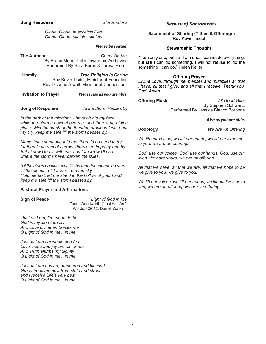*Gloria, Gloria, in excelsis Deo! Gloria, Gloria, alleluia, alleluia!*

#### *Please be seated.*

**The Anthem** *Count On Me* By Bruno Mars, Philip Lawrence, Ari Levine Performed By Sara Burns & Teresa Flores

**Homily** *True Religion is Caring* Rev Kevin Tisdol, Minister of Education Rev Dr Anne Atwell, Minister of Connections

| <b>Invitation to Prayer</b> | Please rise as you are able. |
|-----------------------------|------------------------------|
|-----------------------------|------------------------------|

**Song of Response** *Til the Storm Passes By*

*In the dark of the midnight, I have oft hid my face, while the storms howl above me, and there's no hiding place; 'Mid the crash of the thunder, precious One, hear my cry, keep me safe 'til the storm passes by.*

*Many times someone told me, there is no need to try, for there's no end of sorrow, there's no hope by and by. But I know God is with me, and tomorrow I'll rise where the storms never darken the skies.*

*'Til the storm passes over, 'til the thunder sounds no more, 'til the clouds roll forever from the sky, Hold me fast, let me stand in the hollow of your hand; keep me safe 'til the storm passes by.*

#### **Pastoral Prayer and Affirmations**

**Sign of Peace** *Light of God in Me*  (Tune: Woodworth ["Just As I Am"] Words: ©2012, Durrell Watkins)

 *Just as I am, I'm meant to be God is my life eternally And Love divine embraces me O Light of God in me…in me.*

*Just as I am I'm whole and free Love, hope and joy are all for me And Truth affirms my dignity O Light of God in me…in me.*

*Just as I am healed, prospered and blessed Grace frees me now from strife and stress and I receive Life's very best O Light of God in me…in me.*

### *Service of Sacraments*

**Sacrament of Sharing (Tithes & Offerings)** Rev Kevin Tisdol

#### **Stewardship Thought**

 "I am only one, but still I am one. I cannot do everything, but still I can do something. I will not refuse to do the something I can do." Helen Keller

#### **Offering Prayer**

*Divine Love, through me, blesses and multiplies all that I have, all that I give, and all that I receive. Thank you, God. Amen.*

**Offering Music** *All Good Gifts* By Stephen Schwartz Performed By Jessica Bianco Borbone

#### *Rise as you are able.*

**Doxology** *We Are An Offering*

*We lift our voices, we lift our hands, we lift our lives up to you, we are an offering.*

*God, use our voices, God, use our hands, God, use our lives, they are yours, we are an offering.*

*All that we have, all that we are, all that we hope to be we give to you, we give to you.*

*We lift our voices, we lift our hands, we lift our lives up to you, we are an offering; we are an offering.*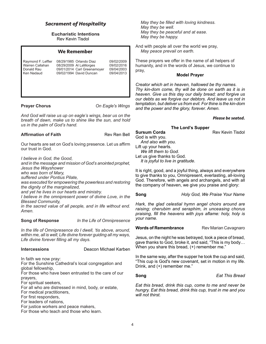## *Sacrament of Hospitality*

#### **Eucharistic Intentions** Rev Kevin Tisdol

#### **We Remember**

Raymond F. Leffler Warren Callahan<br>Donald Rau Ken Nadaud

Donald Rau 09/01/2014 Carl Greenamoyer 09/04/2003 08/29/1985 Orlando Diaz 09/02/2009<br>08/29/2009 Al LaMorges 09/02/2016 08/29/2009 Al LaMorges 09/02/2016<br>09/01/2014 Carl Greenamoyer 09/04/2003 09/02/1994 David Duncan 09/04/2013

**Prayer Chorus** *On Eagle's Wings* 

*And God will raise us up on eagle's wings, bear us on the breath of dawn, make us to shine like the sun, and hold us in the palm of God's hand.*

#### **Affirmation of Faith**  Rev Ren Bell

Our hearts are set on God's loving presence. Let us affirm our trust in God.

*I believe in God, the Good,*

*and in the message and mission of God's anointed prophet, Jesus the Wayshower*

*who was born of Mary,* 

*suffered under Pontius Pilate,*

*was executed for empowering the powerless and restoring the dignity of the marginalized,*

*and yet he lives in our hearts and ministry.*

*I believe in the omnipresent power of divine Love, in the Blessed Community,*

*in the sacred value of all people, and in life without end. Amen.*

**Song of Response** *In the Life of Omnipresence*

*In the life of Omnipresence do I dwell, 'tis above, around, within me, all is well; Life divine forever guiding all my ways, Life divine forever filling all my days.*

**Intercessions** Deacon Michael Karben

In faith we now pray:

For the Sunshine Cathedral's local congregation and global fellowship,

For those who have been entrusted to the care of our prayers,

For spiritual seekers,

For all who are distressed in mind, body, or estate,

For medical practitioners,

For first responders,

For leaders of nations,

For justice workers and peace makers,

For those who teach and those who learn.

*May they be filled with loving kindness. May they be well. May they be peaceful and at ease. May they be happy.*

And with people all over the world we pray, *May peace prevail on earth.*

These prayers we offer in the name of all helpers of humanity, and in the words of Jesus, we continue to pray,

#### **Model Prayer**

*Creator which art in heaven, hallowed be thy names. Thy kin-dom come, thy will be done on earth as it is in heaven. Give us this day our daily bread; and forgive us our debts as we forgive our debtors. And leave us not in temptation, but deliver us from evil. For thine is the kin-dom and the power and the glory, forever. Amen.*

#### *Please be seated.*

#### **The Lord's Supper**

**Sursum Corda Rev** Kevin Tisdol

God is with you. *And also with you.* Lift up your hearts. *We lift them to God.*

Let us give thanks to God.

*It is joyful to live in gratitude.*

It is right, good, and a joyful thing, always and everywhere to give thanks to you, Omnipresent, everlasting, all-loving God. Therefore, with angels and archangels, and with all the company of heaven, we give you praise and glory:

#### **Song** *Holy God, We Praise Your Name*

*Hark, the glad celestial hymn angel choirs around are raising; cherubim and seraphim, in unceasing chorus praising, fill the heavens with joys aflame: holy, holy is your name.*

#### **Words of Remembrance** Rev Marian Cavagnaro

Jesus, on the night he was betrayed, took a piece of bread, gave thanks to God, broke it, and said, "This is my body… When you share this bread,  $(+)$  remember me."

In the same way, after the supper he took the cup and said, "This cup is God's new covenant, set in motion in my life. Drink, and (+) remember me."

### **Song** *Eat This Bread*

*Eat this bread, drink this cup, come to me and never be hungry. Eat this bread, drink this cup, trust in me and you will not thirst.*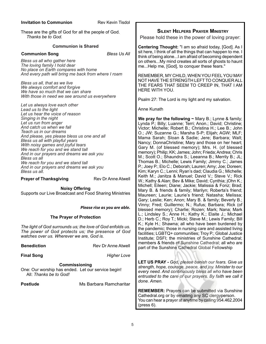| <b>Invitation to Communion</b>                                                                        | Rev Kevin Tisdol                                                                                                |                                                                                                                                                                                                                                    |
|-------------------------------------------------------------------------------------------------------|-----------------------------------------------------------------------------------------------------------------|------------------------------------------------------------------------------------------------------------------------------------------------------------------------------------------------------------------------------------|
| These are the gifts of God for all the people of God.<br>Thanks be to God.                            |                                                                                                                 | <b>SILENT HELPERS PRAYER MINISTRY</b><br>Please hold these in the power of loving prayer:                                                                                                                                          |
|                                                                                                       | <b>Communion is Shared</b>                                                                                      | Centering Thought: "I am so afraid today, [God]. As I                                                                                                                                                                              |
| <b>Communion Song</b>                                                                                 | <b>Bless Us All</b>                                                                                             | sit here, I think of all the things that can happen to me. I<br>think of being alone I am afraid of becoming dependent                                                                                                             |
| Bless us all who gather here<br>The loving family I hold dear<br>No place on Earth compares with home |                                                                                                                 | on othersMy mind creates all sorts of ghosts to haunt<br>meHelp me, [God], to conquer these fears."                                                                                                                                |
| And every path will bring me back from where I roam                                                   |                                                                                                                 | REMEMBER, MY CHILD, WHEN YOU FEEL YOU MAY<br>NOT HAVE THE STRENGTH LEFT TO CONQUER ALL                                                                                                                                             |
| Bless us all, that as we live<br>We always comfort and forgive<br>We have so much that we can share   |                                                                                                                 | THE FEARS THAT SEEM TO CREEP IN, THAT I AM<br>HERE WITH YOU.                                                                                                                                                                       |
| With those in need we see around us everywhere                                                        |                                                                                                                 | Psalm 27: The Lord is my light and my salvation.                                                                                                                                                                                   |
| Let us always love each other<br>Lead us to the light<br>Let us hear the voice of reason              |                                                                                                                 | Anne Kunath                                                                                                                                                                                                                        |
| Singing in the night                                                                                  |                                                                                                                 | We pray for the following $\sim$ Mary B.; Lynne & family;                                                                                                                                                                          |
| Let us run from anger                                                                                 |                                                                                                                 | Lynda P.; Billy; Luanne; Terri; Anon.; David; Christine;                                                                                                                                                                           |
| And catch us when we fall                                                                             |                                                                                                                 | Victor; Michelle; Robert B.; Christina H.; Lee B.; John                                                                                                                                                                            |
| Teach us in our dreams<br>And please, yes please bless us one and all                                 |                                                                                                                 | O.; JW; Suzanne G.; Marsha S-P; Elijah; AGW; MLF;                                                                                                                                                                                  |
| Bless us all with playful years                                                                       |                                                                                                                 | Mama Sarah; Sloan & Sadie; Jere; Barbara; Walt;                                                                                                                                                                                    |
| With noisy games and joyful tears                                                                     |                                                                                                                 | Nancy; DonnaChristine; Mary and those on her heart;<br>Gary M. (of blessed memory); Mrs. H. (of blessed                                                                                                                            |
| We reach for you and we stand tall                                                                    |                                                                                                                 | memory); Philip; KK; James; John; Frieda; Andrea; Chris                                                                                                                                                                            |
| And in our prayers and dreams we ask you                                                              |                                                                                                                 | M.; Scott O.; Shaundra S.; Leeanna B.; Merrily B.; JL;                                                                                                                                                                             |
| <b>Bless us all</b><br>We reach for you and we stand tall                                             |                                                                                                                 | Thomas B.; Michelle; Lewis Family; Jimmy C.; James                                                                                                                                                                                 |
| And in our prayers and dreams we ask you                                                              |                                                                                                                 | P.; Joey P.; Elo C.; Deborah; Lauren; Amy; Joe; Doreen;                                                                                                                                                                            |
| Bless us all.                                                                                         |                                                                                                                 | Kim; Karyn C.; Lenni; Ryan's dad; Claudia G.; Michelle;                                                                                                                                                                            |
|                                                                                                       | <b>Rev Dr Anne Atwell</b>                                                                                       | Keith M.; Janitza & Manuel; David V.; Steve V.; Rick                                                                                                                                                                               |
| <b>Prayer of Thanksgiving</b>                                                                         |                                                                                                                 | W.; Kathy & Alan; Bev & Mike; David; Cynthia; jOhn K.;                                                                                                                                                                             |
|                                                                                                       | <b>Noisy Offering</b><br>Supports our Live Broadcast and Food Sharing Ministries                                | Michell; Eileen; Diane; Jackie; Malissia & Fonz; Brad;<br>Mary B. & friends & family; Marilyn; Roberta's friend;<br>Maureen; Laurie; Laurie's friend; Natasha; Melissa;<br>Gary; Leslie; Ken; Anon; Mary B. & family; Beverly B.;  |
|                                                                                                       | Please rise as you are able.                                                                                    | Vinny; Fred; Guillermo; N.; Rufus; Barbara; Rick (of<br>blessed memory); Charlie; Rozen; Mark; Nana; Mark                                                                                                                          |
| The Prayer of Protection                                                                              |                                                                                                                 | L.; Lindsley S.; Anne H.; Kathy K.; Elaite J.; Michael<br>D.; Herb C.; Roy T.; Micki; Steve M.; Lewis Family; Bill                                                                                                                 |
| watches over us. Wherever we are, God is.                                                             | The light of God surrounds us; the love of God enfolds us.<br>The power of God protects us; the presence of God | K.; Kyle H.; Shawna; all who have been burdened by<br>the pandemic; those in nursing care and assisted living<br>facilities; LGBTQ+ communities; Troy P.; Global Justice<br>Institute; DSFI; the ministries of Sunshine Cathedral; |
| <b>Benediction</b>                                                                                    | <b>Rev Dr Anne Atwell</b>                                                                                       | members & friends of Sunshine Cathedral; all who are<br>part of the Sunshine Cathedral Global Fellowship                                                                                                                           |
| <b>Final Song</b>                                                                                     | <b>Higher Love</b>                                                                                              |                                                                                                                                                                                                                                    |
|                                                                                                       | Commissioning                                                                                                   | LET US PRAY - God, please banish our fears. Give us                                                                                                                                                                                |
| One: Our worship has ended. Let our service begin!                                                    |                                                                                                                 | strength, hope, courage, peace, and joy. Minister to our<br>every need. And continuously bless all who have been                                                                                                                   |
| All: Thanks be to God!                                                                                |                                                                                                                 | entrusted to the care of our prayers. By faith we call it                                                                                                                                                                          |
|                                                                                                       |                                                                                                                 | done, Amen.                                                                                                                                                                                                                        |
| <b>Postlude</b>                                                                                       | Ms Barbara Ramcharitar                                                                                          | <b>REMEMBER:</b> Prayers can be submitted via Sunshine                                                                                                                                                                             |
|                                                                                                       |                                                                                                                 | Cathedral.org or by emailing any SC clergyperson.<br>You can hear a prayer at anytime by calling 954.462.2004<br>(press $6$ ).                                                                                                     |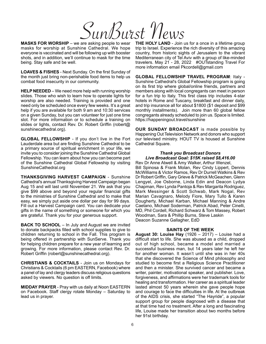SunBurst News

**MASKS FOR WORSHIP** – we are asking people to wear masks for worship at Sunshine Cathedral. We hope everyone is vaccinated and will be following up with booster shots, and in addition, we'll continue to mask for the time being. Stay safe and be well.

**LOAVES & FISHES** - Next Sunday. On the first Sunday of the month just bring non-perishable food items to help us combat food insecurity in our community.

**HELP NEEDED** – We need more help with running worship slides. Those who wish to learn how to operate lights for worship are also needed. Training is provided and one need only be scheduled once every few weeks. It's a great help if you are available for both 9 am and 10:30 services on a given Sunday, but you can volunteer for just one time slot. For more information or to schedule a training on slides or lights, contact Rev. Dr. Robert Griffin (robert@) sunshinecathedral.org).

**GLOBAL FELLOWSHIP** - If you don't live in the Fort Lauderdale area but are finding Sunshine Cathedral to be a primary source of spiritual enrichment in your life, we invite you to consider joining the Sunshine Cathedral Global Fellowship. You can learn about how you can become part of the Sunshine Cathedral Global Fellowship by visiting SunshineCathedral.org

**THANKSGIVING HARVEST CAMPAIGN** - Sunshine Cathedral's annual Thanksgiving Harvest Campaign began Aug 15 and will last until November 21. We ask that you give \$99 above and beyond your regular financial gifts to the ministries of Sunshine Cathedral and to make that easy, we simply put aside one dollar per day for 99 days. Fill out a Harvest Campaign card. You can dedicate your gifts in the name of something or someone for which you are grateful. Thank you for your generous support.

**BACK TO SCHOOL** – In July and August we are invited to donate backpacks filled with school supplies to give to children returning to school in the Fall. This program is being offered in partnership with SunServe. Thank you for helping children prepare for a new year of learning and growing. For more information, please contact Rev. Dr. Robert Griffin (robert@sunshinecathedral.org).

**CHRISTIANS & COCKTAILS** - Join us on Mondays for Christians & Cocktails (6 pm EASTERN, Facebook) where a panel of lay and clergy leaders discuss religious questions asked by viewers. No question is off limits.

**MIDDAY PRAYER** - Pray with us daily at Noon EASTERN on Facebook. Staff clergy rotate Monday – Saturday to lead us in prayer.

**THE HOLY LAND** - Join us for a once in a lifetime group trip to Israel. Experience the rich diversity of this amazing country, from historic sights of Jerusalem to the vibrant Mediterranean city of Tel Aviv with a group of like-minded travelers. May 21 - 28, 2022 #OUTstanding Travel For more information email Pkcordell@gmail.com

**GLOBAL FELLOWSHIP TRAVEL PROGRAM**: Italy - Sunshine Cathedral's Global Fellowship program is going on its first trip where global/online friends, partners and members along with local congregants can meet in person for a fun trip to Italy. This first class trip includes 4-star hotels in Rome and Tuscany, breakfast and dinner daily, and trip insurance all for about \$1800 (\$1 deposit and \$99 monthly installments). Join more than 60 global fellow congregants already scheduled to join us. Space is limited. https://happeningout.travel/sunshine

**OUR SUNDAY BROADCAST** is made possible by Happening Out Television Network and donors who support our televised ministry. HOUT TV is housed at Sunshine Cathedral Square.

#### *Thank you Broadcast Donors Live Broadcast Goal: \$15K raised \$8,416.00*

Rev Dr Anne Atwell & Amy Walker, Arthur Wenzel, Bill Spinosa & Frank Molan, Rev Cindy Lippert, Dennis McWilliams & Victor Ramos, Rev Dr Durrell Watkins & Rev Dr Robert Griffin, Gary Grieve & Patrick McGeachen, Glenn Lengyel, Joe Osborne, Linda Edin and Deacon Lydya Chapman, Rev Lynda Pantoja & Rev Margarita Rodriguez, Mark Messinger & Scott Schwab, Mark Nogal, Rev Marian Cavagnaro, Melody Fiore, Mary Tullo & Karen Dougherty, Michael Karban, Michael Manning & Andre Caetano, Michael Soderman, Patrick Abad, Peter Cinelli, MD, Phil Cordell, Richard Schwarz & Tom Massey, Robert Woodman, Sara & Phillip Burns, Steve Laskin Deacon Suzanne Gallagher, EdD

### **SAINTS OF THE WEEK**

**August 30: Louise Hay** (1926 – 2017) – Louise had a difficult start to life. She was abused as a child, dropped out of high school, became a model and married a successful business man, but 14 years later he left her for another woman. It wasn't until she was in her 40s that she discovered the Science of Mind philosophy and studied to become first a Religious Science Practitioner and then a minister. She survived cancer and became a writer, painter, motivational speaker, and publisher. Love, forgiveness, and affirmations were her trademark tools for healing and transformation. Her career as a spiritual leader lasted almost 50 years wherein she gave people hope and courage to face the difficulties in life. At the outbreak of the AIDS crisis, she started "The Hayride", a popular support group for people diagnosed with a disease that at that time had no treatment. After a long and fascinating life, Louise made her transition about two months before her 91st birthday.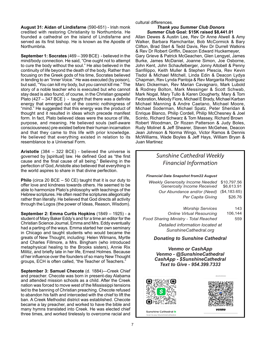**August 31: Aidan of Lindisfarne** (590-651) - Irish monk credited with restoring Christianity to Northumbria. He founded a cathedral on the island of Lindisfarne and served as its first bishop. He is known as the Apostle of Northumbria.

**September 1: Socrates** (469 – 399 BCE) - believed in the mind/body connection. He said, "One ought not to attempt to cure the body without the soul." He also believed in the continuity of life beyond the death of the body. Rather than focusing on the Greek gods of his time, Socrates believed in tending to an "Inner Voice." He was executed (by poison), but said, "You can kill my body, but you cannot kill me." The story of a noble teacher who is executed but who cannot stay dead is also found, of course, in the Christian gospels! Plato  $(427 - 347$  BCE) - taught that there was a definite energy that emerged out of the cosmic nothingness of "mind." He suggested that this energy was the product of thought and it resulted in ideas which precede manifest form. In fact, Plato believed ideas were the source of life, purpose, and meaning. He believed souls (self-aware consciousness) pre-existed before their human incarnation and that they came to this life with prior knowledge. He believed that everything existed in relation to its resemblance to a Universal Form.

**Aristotle** (384 – 322 BCE) - believed the universe is governed by [spiritual] law. He defined God as "the first cause and the final cause of all being." Believing in the perfection of God, Aristotle also believed that everything in the world aspires to share in that divine perfection.

**Philo** (circa 20 BCE – 50 CE) taught that it is our duty to offer love and kindness towards others. He seemed to be able to harmonize Plato's philosophy with teachings of the Hebrew scriptures. He often read the scriptures allegorically rather than literally. He believed that God directs all activity through the Logos (the power of Ideas, Reason, Wisdom).

**September 2: Emma Curtis Hopkins** (1849 – 1925) - a student of Mary Baker Eddy's and for a time an editor for the Christian Science Journal, Emma and Mrs. Eddy eventually had a parting of the ways. Emma started her own seminary in Chicago and taught students who would became the greats of New Thought, including: Helen Wilmans, Myrtle and Charles Fillmore, a Mrs. Bingham (who introduced metaphysical healing to the Brooks sisters), Annie Rix Militiz, and briefly late in her life, Ernest Holmes. Because of her influence over the founders of so many New Thought groups, ECH is often called, "the Teacher of Teachers."

**September 3: Samuel Checote** (d. 1884)—Creek Chief and preacher. Checote was born in present-day Alabama and attended mission schools as a child. After the Creek nation was forced to move west of the Mississippi tensions led to the banning of Christian preaching. Checote refused to abandon his faith and interceded with the chief to lift the ban. A Creek Methodist district was established. Checote became a lay preacher, and worked to have the bible and many hymns translated into Creek. He was elected chief three times, and worked tirelessly to overcome racial and

### cultural differences.

#### *Thank you Summer Club Donors Summer Club* **Goal: \$15K raised \$8,441.01**

Allan Dewes & Austin Lee, Rev Dr Anne Atwell & Amy Walker, Barbara Ramcharitar, Bob McCormick & Bary Clifton, Brad Sterl & Tedd Davis, Rev Dr Durrell Watkins & Rev Dr Robert Griffin, Deacon Edward Huckemeyer, Gary Grieve & Patrick McGeachen, Glen Lengyel, James Burke, James McDaniel, Joanne Simon, Joe Osborne, John Kent, John Schaufelberger, Jonny Altobell & Penny Sanfilippo, Keith Muller & Stephen Plescia, Rev Kevin Tisdol & Michael Mitchell, Linda Edin & Deacon Lydya Chapman, Rev Lynda Pantoja & Rev Margarita Rodriguez Marc Dickerman, Rev Marian Cavagnaro, Mark Lubold & Rodney Bolton, Mark Messinger & Scott Schwab, Mark Nogal, Mary Tullo & Karen Dougherty, Mary & Tom Fedoration, Melody Fiore, Michael E Brady, Michael Karban Michael Manning & Andre Caetano, Michael Moore, Michael Soderman, Michael Spatz, Peter Sheridan & Enrique Blanco, Philip Cordell, Philip McChesney & Joel Scinto, Richard Schwarz & Tom Massey, Richard Brown Robert Woodman, Dr Rozen Patterson & Judy Boles, Rudy Molinet & Jeff Shearer, Steven McGehee, Deacon Jean Johnson & Norma Wingo, Victor Ramos & Dennis McWilliams, Wade Boyles & Jeff Hays, William Bryan & Juan Martinez

# *Sunshine Cathedral Weekly Financial Information*

#### *Financial Data Snapshot from22 August*

| <b>Weekly Generosity Income Needed</b>                                                                                                                           | \$10,797.56           |
|------------------------------------------------------------------------------------------------------------------------------------------------------------------|-----------------------|
| Generosity Income Received                                                                                                                                       | \$6,613.91            |
| Our Abundance and/or (Need)                                                                                                                                      | (\$4,183.65)          |
| Per Capita Giving                                                                                                                                                | \$26.76               |
| <b>Worship Services</b><br><b>Online Virtual Resourcing</b><br>Food Sharing Ministry - Total Reached<br>Detailed information located at<br>SunshineCathedral.org | 143<br>106,144<br>559 |

### *Donating to Sunshine Cathedral*

*Venmo or CashApp Venmo - @SunshineCathedral CashApp - \$SunshineCathedral Text to Give - 954.399.7333*



Sunshine Cathedral **B** Scan to pay \$SunshineCathedral



venma